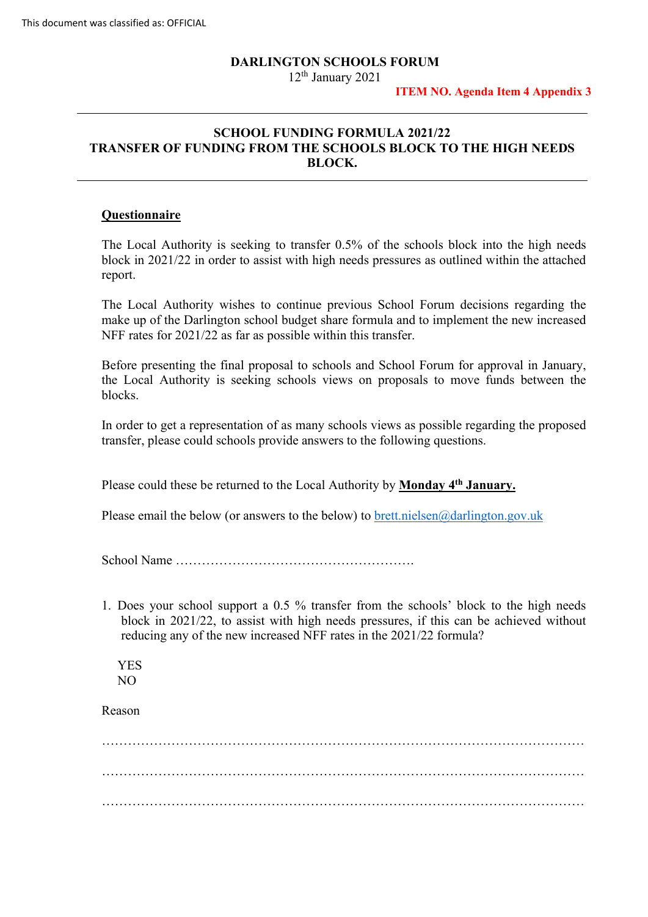### **DARLINGTON SCHOOLS FORUM**

12<sup>th</sup> January 2021

#### **ITEM NO. Agenda Item 4 Appendix 3**

# **SCHOOL FUNDING FORMULA 2021/22 TRANSFER OF FUNDING FROM THE SCHOOLS BLOCK TO THE HIGH NEEDS BLOCK.**

## **Questionnaire**

The Local Authority is seeking to transfer 0.5% of the schools block into the high needs block in 2021/22 in order to assist with high needs pressures as outlined within the attached report.

 make up of the Darlington school budget share formula and to implement the new increased NFF rates for 2021/22 as far as possible within this transfer. The Local Authority wishes to continue previous School Forum decisions regarding the

 Before presenting the final proposal to schools and School Forum for approval in January, the Local Authority is seeking schools views on proposals to move funds between the blocks.

 transfer, please could schools provide answers to the following questions. In order to get a representation of as many schools views as possible regarding the proposed

Please could these be returned to the Local Authority by **Monday 4<sup>th</sup> January.** 

Please email the below (or answers to the below) to [brett.nielsen@darlington.gov.uk](mailto:brett.nielsen@darlington.gov.uk) School Name ……………………………………………….

 1. Does your school support a 0.5 % transfer from the schools' block to the high needs reducing any of the new increased NFF rates in the 2021/22 formula? YES block in 2021/22, to assist with high needs pressures, if this can be achieved without

NO

Reason

NO Reason ………………………………………………………………………………………………… …………………………………………………………………………………………………